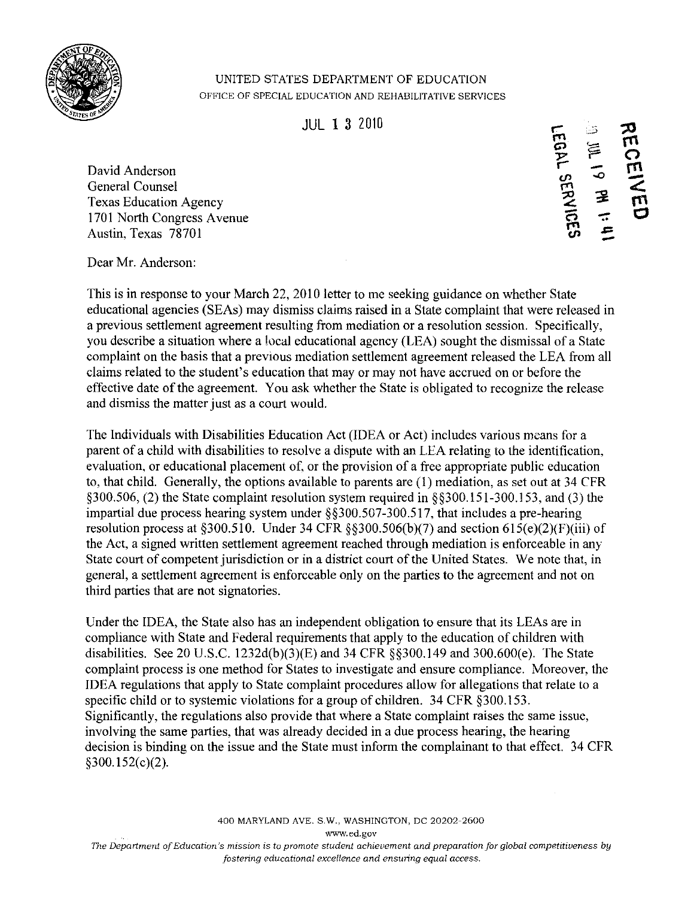

## UNITED STATES DEPARTMENT OF EDUCATION OFFICE OF SPECIAL EDUCATION AND REHABILITATIVE SERVICES

David Anderson General Counsel Texas Education Agency 1701 North Congress Avenue Austin, Texas 78701

 $\blacksquare$ JUL 1 3 2010 r- :-.';> rn Cl '<::; Y' r--*.oC)* cJ> # 1: 11<br># 1: 11  $\frac{1}{2}$  $\mathcal{D}_{\mathcal{L}}$  $\tilde{\mathcal{C}}$ **CEIVIE** rn

Dear Mr. Anderson:

This is in response to your March 22, 2010 letter to me seeking guidance on whether State educational agencies (SEAs) may dismiss claims raised in a State complaint that were released in a previous settlement agreement resulting from mediation or a resolution session. Specifically, you describe a situation where a local educational agency (LEA) sought the dismissal of a State complaint on the basis that a previous mediation settlement agreement released the LEA from all claims related to the student's education that mayor may not have accrued on or before the effective date of the agreement. You ask whether the State is obligated to recognize the release and dismiss the matter just as a court would.

The Individuals with Disabilities Education Act (IDEA or Act) includes various means for a parent of a child with disabilities to resolve a dispute with an LEA relating to the identification, evaluation, or educational placement of, or the provision of a free appropriate public education to, that child. Generally, the options available to parents are (1) mediation, as set out at 34 CFR §300.S06, (2) the State complaint resolution system required in §§300.IS1-300.1S3, and (3) the impartial due process hearing system under §§300.S07-300.S17, that includes a pre-hearing resolution process at  $\S 300.510$ . Under 34 CFR  $\S \ \ 300.506(b)(7)$  and section  $615(e)(2)(F)(iii)$  of the Act, a signed written settlement agreement reached through mediation is enforceable in any State court of competent jurisdiction or in a district court of the United States. We note that, in general, a settlement agreement is enforceable only on the parties to the agreement and not on third parties that are not signatories.

Under the IDEA, the State also has an independent obligation to ensure that its LEAs are in compliance with State and Federal requirements that apply to the education of children with disabilities. See 20 U.S.C. 1232d(b)(3)(E) and 34 CFR §§300.149 and 300.600(e). The State complaint process is one method for States to investigate and ensure compliance. Moreover, the IDEA regulations that apply to State complaint procedures allow for allegations that relate to a specific child or to systemic violations for a group of children. 34 CFR §300.153. Significantly, the regulations also provide that where a State complaint raises the same issue, involving the same parties, that was already decided in a due process hearing, the hearing decision is binding on the issue and the State must inform the complainant to that effect. 34 CFR §300.1S2(c)(2).